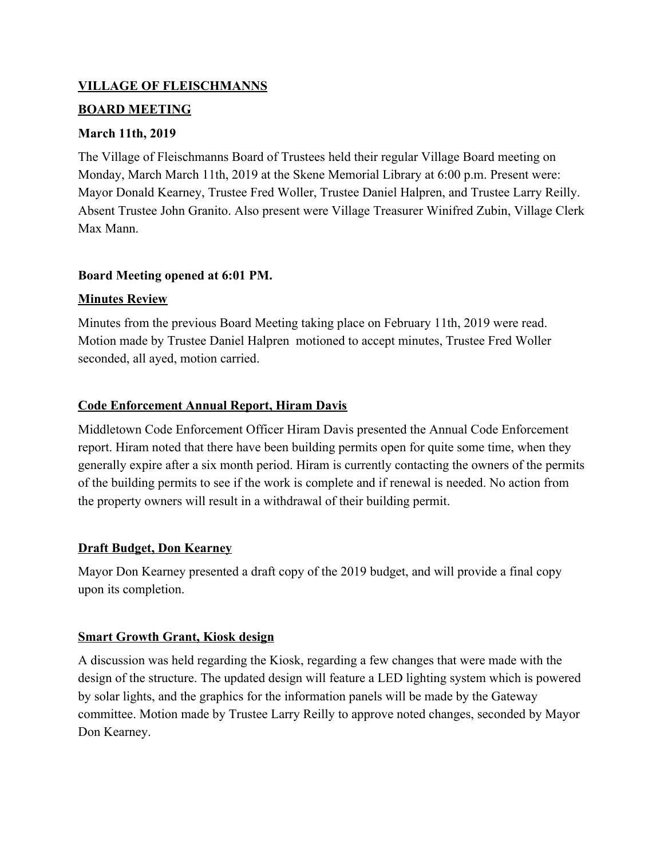# **VILLAGE OF FLEISCHMANNS**

# **BOARD MEETING**

# **March 11th, 2019**

The Village of Fleischmanns Board of Trustees held their regular Village Board meeting on Monday, March March 11th, 2019 at the Skene Memorial Library at 6:00 p.m. Present were: Mayor Donald Kearney, Trustee Fred Woller, Trustee Daniel Halpren, and Trustee Larry Reilly. Absent Trustee John Granito. Also present were Village Treasurer Winifred Zubin, Village Clerk Max Mann.

# **Board Meeting opened at 6:01 PM.**

# **Minutes Review**

Minutes from the previous Board Meeting taking place on February 11th, 2019 were read. Motion made by Trustee Daniel Halpren motioned to accept minutes, Trustee Fred Woller seconded, all ayed, motion carried.

# **Code Enforcement Annual Report, Hiram Davis**

Middletown Code Enforcement Officer Hiram Davis presented the Annual Code Enforcement report. Hiram noted that there have been building permits open for quite some time, when they generally expire after a six month period. Hiram is currently contacting the owners of the permits of the building permits to see if the work is complete and if renewal is needed. No action from the property owners will result in a withdrawal of their building permit.

# **Draft Budget, Don Kearney**

Mayor Don Kearney presented a draft copy of the 2019 budget, and will provide a final copy upon its completion.

# **Smart Growth Grant, Kiosk design**

A discussion was held regarding the Kiosk, regarding a few changes that were made with the design of the structure. The updated design will feature a LED lighting system which is powered by solar lights, and the graphics for the information panels will be made by the Gateway committee. Motion made by Trustee Larry Reilly to approve noted changes, seconded by Mayor Don Kearney.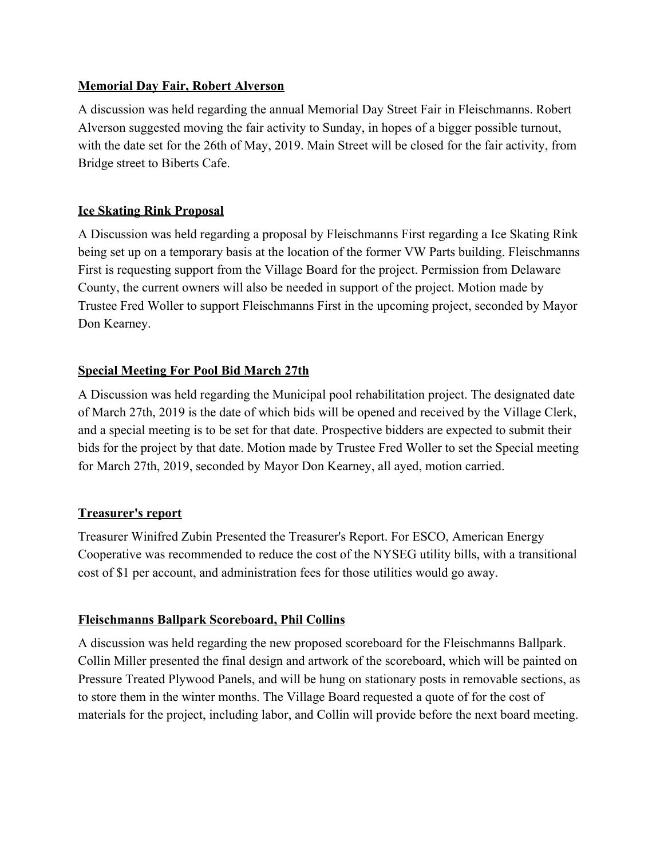# **Memorial Day Fair, Robert Alverson**

A discussion was held regarding the annual Memorial Day Street Fair in Fleischmanns. Robert Alverson suggested moving the fair activity to Sunday, in hopes of a bigger possible turnout, with the date set for the 26th of May, 2019. Main Street will be closed for the fair activity, from Bridge street to Biberts Cafe.

# **Ice Skating Rink Proposal**

A Discussion was held regarding a proposal by Fleischmanns First regarding a Ice Skating Rink being set up on a temporary basis at the location of the former VW Parts building. Fleischmanns First is requesting support from the Village Board for the project. Permission from Delaware County, the current owners will also be needed in support of the project. Motion made by Trustee Fred Woller to support Fleischmanns First in the upcoming project, seconded by Mayor Don Kearney.

# **Special Meeting For Pool Bid March 27th**

A Discussion was held regarding the Municipal pool rehabilitation project. The designated date of March 27th, 2019 is the date of which bids will be opened and received by the Village Clerk, and a special meeting is to be set for that date. Prospective bidders are expected to submit their bids for the project by that date. Motion made by Trustee Fred Woller to set the Special meeting for March 27th, 2019, seconded by Mayor Don Kearney, all ayed, motion carried.

# **Treasurer's report**

Treasurer Winifred Zubin Presented the Treasurer's Report. For ESCO, American Energy Cooperative was recommended to reduce the cost of the NYSEG utility bills, with a transitional cost of \$1 per account, and administration fees for those utilities would go away.

# **Fleischmanns Ballpark Scoreboard, Phil Collins**

A discussion was held regarding the new proposed scoreboard for the Fleischmanns Ballpark. Collin Miller presented the final design and artwork of the scoreboard, which will be painted on Pressure Treated Plywood Panels, and will be hung on stationary posts in removable sections, as to store them in the winter months. The Village Board requested a quote of for the cost of materials for the project, including labor, and Collin will provide before the next board meeting.